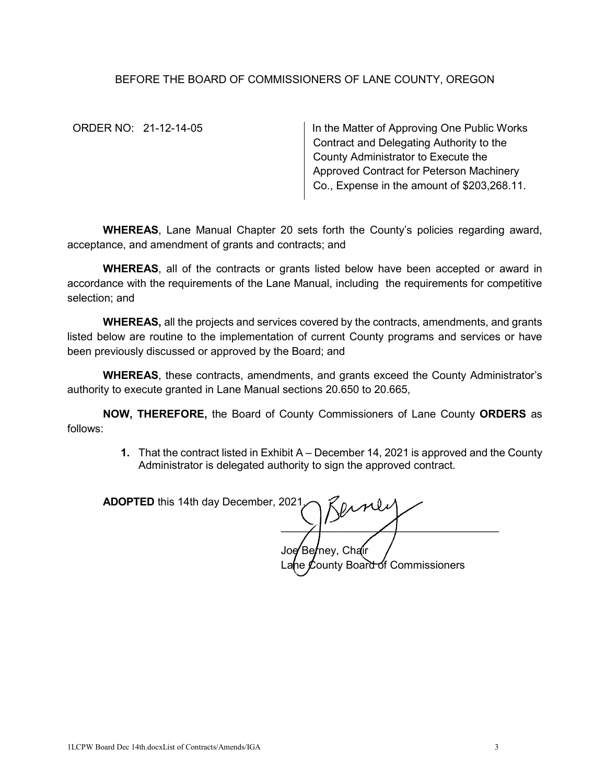## BEFORE THE BOARD OF COMMISSIONERS OF LANE COUNTY, OREGON

ORDER NO: 21-12-14-05 In the Matter of Approving One Public Works Contract and Delegating Authority to the County Administrator to Execute the Approved Contract for Peterson Machinery Co., Expense in the amount of \$203,268.11.

**WHEREAS**, Lane Manual Chapter 20 sets forth the County's policies regarding award, acceptance, and amendment of grants and contracts; and

**WHEREAS**, all of the contracts or grants listed below have been accepted or award in accordance with the requirements of the Lane Manual, including the requirements for competitive selection; and

**WHEREAS,** all the projects and services covered by the contracts, amendments, and grants listed below are routine to the implementation of current County programs and services or have been previously discussed or approved by the Board; and

**WHEREAS**, these contracts, amendments, and grants exceed the County Administrator's authority to execute granted in Lane Manual sections 20.650 to 20.665,

**NOW, THEREFORE,** the Board of County Commissioners of Lane County **ORDERS** as follows:

> **1.** That the contract listed in Exhibit A – December 14, 2021 is approved and the County Administrator is delegated authority to sign the approved contract.

**ADOPTED** this 14th day December, 2021.  $\frac{1}{2}$ Jo**e⁄** Be**/**ney, Cha(ir .<br>County Board of Commissioners